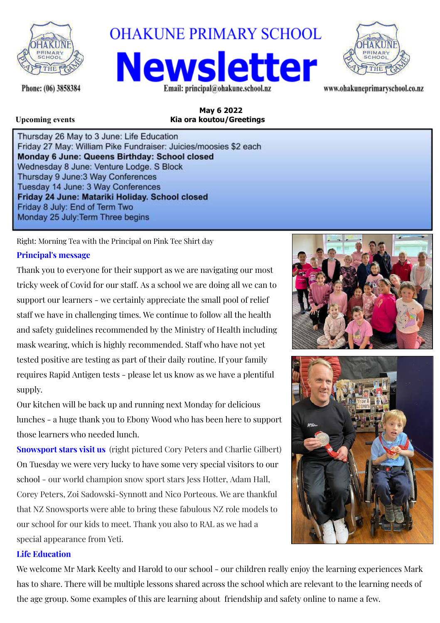





Phone: (06) 3858384

#### **May 6 2022 Upcoming events Kia ora koutou/Greetings**

Thursday 26 May to 3 June: Life Education Friday 27 May: William Pike Fundraiser: Juicies/moosies \$2 each Monday 6 June: Queens Birthday: School closed Wednesday 8 June: Venture Lodge. S Block Thursday 9 June: 3 Way Conferences Tuesday 14 June: 3 Way Conferences Friday 24 June: Matariki Holiday. School closed Friday 8 July: End of Term Two Monday 25 July: Term Three begins

Right: Morning Tea with the Principal on Pink Tee Shirt day

#### **Principal's message**

Thank you to everyone for their support as we are navigating our most tricky week of Covid for our staff. As a school we are doing all we can to support our learners - we certainly appreciate the small pool of relief staff we have in challenging times. We continue to follow all the health and safety guidelines recommended by the Ministry of Health including mask wearing, which is highly recommended. Staff who have not yet tested positive are testing as part of their daily routine. If your family requires Rapid Antigen tests - please let us know as we have a plentiful supply.

Our kitchen will be back up and running next Monday for delicious lunches - a huge thank you to Ebony Wood who has been here to support those learners who needed lunch.

**Snowsport stars visit us** (right pictured Cory Peters and Charlie Gilbert) On Tuesday we were very lucky to have some very special visitors to our school - our world champion snow sport stars Jess Hotter, Adam Hall, Corey Peters, Zoi Sadowski-Synnott and Nico Porteous. We are thankful that NZ Snowsports were able to bring these fabulous NZ role models to our school for our kids to meet. Thank you also to RAL as we had a special appearance from Yeti.

#### **Life Education**

We welcome Mr Mark Keelty and Harold to our school - our children really enjoy the learning experiences Mark has to share. There will be multiple lessons shared across the school which are relevant to the learning needs of the age group. Some examples of this are learning about friendship and safety online to name a few.



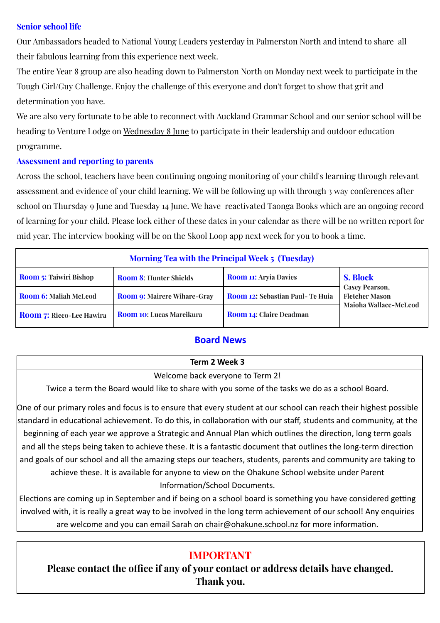#### **Senior school life**

Our Ambassadors headed to National Young Leaders yesterday in Palmerston North and intend to share all their fabulous learning from this experience next week.

The entire Year 8 group are also heading down to Palmerston North on Monday next week to participate in the Tough Girl/Guy Challenge. Enjoy the challenge of this everyone and don't forget to show that grit and determination you have.

We are also very fortunate to be able to reconnect with Auckland Grammar School and our senior school will be heading to Venture Lodge on Wednesday 8 June to participate in their leadership and outdoor education programme.

#### **Assessment and reporting to parents**

Across the school, teachers have been continuing ongoing monitoring of your child's learning through relevant assessment and evidence of your child learning. We will be following up with through 3 way conferences after school on Thursday 9 June and Tuesday 14 June. We have reactivated Taonga Books which are an ongoing record of learning for your child. Please lock either of these dates in your calendar as there will be no written report for mid year. The interview booking will be on the Skool Loop app next week for you to book a time.

| <b>Morning Tea with the Principal Week 5 (Tuesday)</b> |                                    |                                  |                                                                                            |
|--------------------------------------------------------|------------------------------------|----------------------------------|--------------------------------------------------------------------------------------------|
| <b>Room 5: Taiwiri Bishop</b>                          | <b>Room 8: Hunter Shields</b>      | <b>Room 11: Aryia Davies</b>     | <b>S. Block</b><br><b>Casey Pearson,</b><br><b>Fletcher Mason</b><br>Maioha Wallace-McLeod |
| <b>Room 6: Maliah McLeod</b>                           | <b>Room 9: Mairere Wihare-Gray</b> | Room 12: Sebastian Paul- Te Huia |                                                                                            |
| <b>Room 7: Ricco-Lee Hawira</b>                        | Room 10: Lucas Mareikura           | <b>Room 14: Claire Deadman</b>   |                                                                                            |

#### **Board News**

#### **Term 2 Week 3**

Welcome back everyone to Term 2!

Twice a term the Board would like to share with you some of the tasks we do as a school Board.

One of our primary roles and focus is to ensure that every student at our school can reach their highest possible standard in educational achievement. To do this, in collaboration with our staff, students and community, at the beginning of each year we approve a Strategic and Annual Plan which outlines the direction, long term goals and all the steps being taken to achieve these. It is a fantastic document that outlines the long-term direction and goals of our school and all the amazing steps our teachers, students, parents and community are taking to achieve these. It is available for anyone to view on the Ohakune School website under Parent Information/School Documents.

Elections are coming up in September and if being on a school board is something you have considered getting involved with, it is really a great way to be involved in the long term achievement of our school! Any enquiries are welcome and you can email Sarah on chair@ohakune.school.nz for more information.

## **IMPORTANT**

**Please contact the oce if any of your contact or address details have changed. Thank you.**